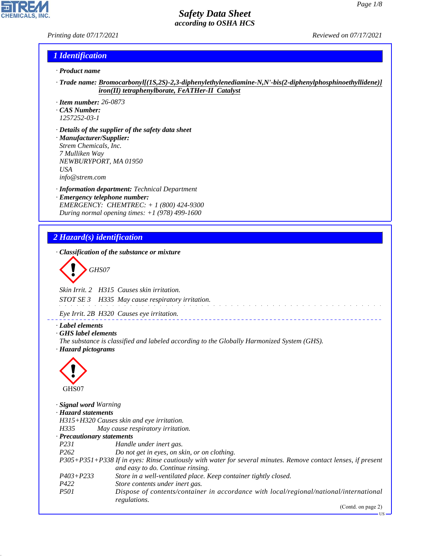*Printing date 07/17/2021 Reviewed on 07/17/2021*

**CHEMICALS, INC** 

## *1 Identification*

- *· Product name*
- *· Trade name: Bromocarbonyl[(1S,2S)-2,3-diphenylethylenediamine-N,N'-bis(2-diphenylphosphinoethyllidene)] iron(II) tetraphenylborate, FeATHer-II Catalyst*
- *· Item number: 26-0873*
- *· CAS Number: 1257252-03-1*
- *· Details of the supplier of the safety data sheet · Manufacturer/Supplier: Strem Chemicals, Inc. 7 Mulliken Way NEWBURYPORT, MA 01950 USA*

*info@strem.com*

*· Information department: Technical Department · Emergency telephone number: EMERGENCY: CHEMTREC: + 1 (800) 424-9300 During normal opening times: +1 (978) 499-1600*

# *2 Hazard(s) identification*

*· Classification of the substance or mixture*

$$
\left\langle \begin{array}{c}\n\end{array}\right\rangle
$$
 GHSO7

*Skin Irrit. 2 H315 Causes skin irritation.*

*STOT SE 3 H335 May cause respiratory irritation.*

*Eye Irrit. 2B H320 Causes eye irritation.*

*· Label elements*

*· GHS label elements*

*The substance is classified and labeled according to the Globally Harmonized System (GHS). · Hazard pictograms*



44.1.1

| · <b>Signal word</b> Warning |                                                                                                                                                    |
|------------------------------|----------------------------------------------------------------------------------------------------------------------------------------------------|
| · Hazard statements          |                                                                                                                                                    |
|                              | H315+H320 Causes skin and eye irritation.                                                                                                          |
| H335                         | May cause respiratory irritation.                                                                                                                  |
| · Precautionary statements   |                                                                                                                                                    |
| <i>P231</i>                  | Handle under inert gas.                                                                                                                            |
| P <sub>262</sub>             | Do not get in eyes, on skin, or on clothing.                                                                                                       |
|                              | P305+P351+P338 If in eyes: Rinse cautiously with water for several minutes. Remove contact lenses, if present<br>and easy to do. Continue rinsing. |
| $P403 + P233$                | Store in a well-ventilated place. Keep container tightly closed.                                                                                   |
| P422                         | Store contents under inert gas.                                                                                                                    |
| <i>P501</i>                  | Dispose of contents/container in accordance with local/regional/national/international<br>regulations.                                             |
|                              | $(C_{\text{out}}4_{\text{out}}$ $\ldots$ $(2)$                                                                                                     |

(Contd. on page 2)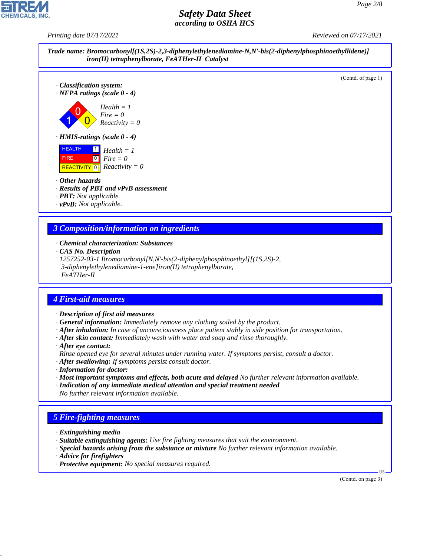*Printing date 07/17/2021 Reviewed on 07/17/2021*



## *3 Composition/information on ingredients*

- *· Chemical characterization: Substances*
- *· CAS No. Description*
- *1257252-03-1 Bromocarbonyl[N,N'-bis(2-diphenylphosphinoethyl][(1S,2S)-2,*
- *3-diphenylethylenediamine-1-ene]iron(II) tetraphenylborate,*
- *FeATHer-II*

### *4 First-aid measures*

- *· Description of first aid measures*
- *· General information: Immediately remove any clothing soiled by the product.*
- *· After inhalation: In case of unconsciousness place patient stably in side position for transportation.*
- *· After skin contact: Immediately wash with water and soap and rinse thoroughly.*
- *· After eye contact:*
- *Rinse opened eye for several minutes under running water. If symptoms persist, consult a doctor.*
- *· After swallowing: If symptoms persist consult doctor.*
- *· Information for doctor:*
- *· Most important symptoms and effects, both acute and delayed No further relevant information available.*
- *· Indication of any immediate medical attention and special treatment needed No further relevant information available.*

# *5 Fire-fighting measures*

- *· Extinguishing media*
- *· Suitable extinguishing agents: Use fire fighting measures that suit the environment.*
- *· Special hazards arising from the substance or mixture No further relevant information available.*
- *· Advice for firefighters*

44.1.1

*· Protective equipment: No special measures required.*

(Contd. on page 3)

US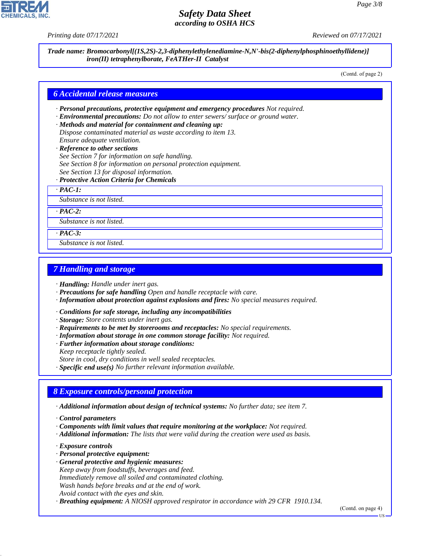

*Printing date 07/17/2021 Reviewed on 07/17/2021*

*Trade name: Bromocarbonyl[(1S,2S)-2,3-diphenylethylenediamine-N,N'-bis(2-diphenylphosphinoethyllidene)] iron(II) tetraphenylborate, FeATHer-II Catalyst*

(Contd. of page 2)

### *6 Accidental release measures*

- *· Personal precautions, protective equipment and emergency procedures Not required.*
- *· Environmental precautions: Do not allow to enter sewers/ surface or ground water.*
- *· Methods and material for containment and cleaning up: Dispose contaminated material as waste according to item 13. Ensure adequate ventilation.*
- *· Reference to other sections*
- *See Section 7 for information on safe handling.*
- *See Section 8 for information on personal protection equipment.*
- *See Section 13 for disposal information.*
- *· Protective Action Criteria for Chemicals*
- *· PAC-1:*

*Substance is not listed.*

*· PAC-2:*

*Substance is not listed.*

*· PAC-3:*

*Substance is not listed.*

## *7 Handling and storage*

*· Handling: Handle under inert gas.*

- *· Precautions for safe handling Open and handle receptacle with care.*
- *· Information about protection against explosions and fires: No special measures required.*
- *· Conditions for safe storage, including any incompatibilities*
- *· Storage: Store contents under inert gas.*
- *· Requirements to be met by storerooms and receptacles: No special requirements.*
- *· Information about storage in one common storage facility: Not required.*
- *· Further information about storage conditions:*
- *Keep receptacle tightly sealed.*
- *Store in cool, dry conditions in well sealed receptacles.*

*· Specific end use(s) No further relevant information available.*

### *8 Exposure controls/personal protection*

*· Additional information about design of technical systems: No further data; see item 7.*

- *· Components with limit values that require monitoring at the workplace: Not required.*
- *· Additional information: The lists that were valid during the creation were used as basis.*
- *· Exposure controls*

44.1.1

- *· Personal protective equipment:*
- *· General protective and hygienic measures:*
- *Keep away from foodstuffs, beverages and feed.*
- *Immediately remove all soiled and contaminated clothing.*
- *Wash hands before breaks and at the end of work.*
- *Avoid contact with the eyes and skin.*

*· Breathing equipment: A NIOSH approved respirator in accordance with 29 CFR 1910.134.*

(Contd. on page 4)

*<sup>·</sup> Control parameters*

US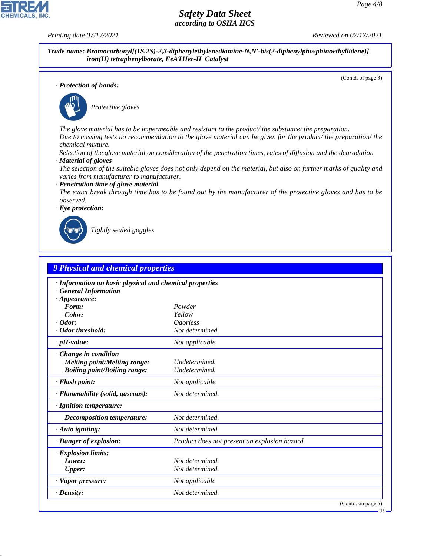*Printing date 07/17/2021 Reviewed on 07/17/2021*

**CHEMICALS, INC** 

*Trade name: Bromocarbonyl[(1S,2S)-2,3-diphenylethylenediamine-N,N'-bis(2-diphenylphosphinoethyllidene)] iron(II) tetraphenylborate, FeATHer-II Catalyst*

(Contd. of page 3)

US

*· Protection of hands:*

![](_page_3_Picture_7.jpeg)

\_S*Protective gloves*

*The glove material has to be impermeable and resistant to the product/ the substance/ the preparation. Due to missing tests no recommendation to the glove material can be given for the product/ the preparation/ the chemical mixture.*

*Selection of the glove material on consideration of the penetration times, rates of diffusion and the degradation · Material of gloves*

*The selection of the suitable gloves does not only depend on the material, but also on further marks of quality and varies from manufacturer to manufacturer.*

#### *· Penetration time of glove material*

*The exact break through time has to be found out by the manufacturer of the protective gloves and has to be observed.*

![](_page_3_Picture_14.jpeg)

![](_page_3_Picture_15.jpeg)

44.1.1

\_R*Tightly sealed goggles*

| <b>9 Physical and chemical properties</b>               |                                               |                    |
|---------------------------------------------------------|-----------------------------------------------|--------------------|
| · Information on basic physical and chemical properties |                                               |                    |
| <b>General Information</b>                              |                                               |                    |
| $\cdot$ Appearance:                                     |                                               |                    |
| Form:                                                   | Powder                                        |                    |
| Color:                                                  | Yellow                                        |                    |
| $\cdot$ Odor:                                           | <i><b>Odorless</b></i>                        |                    |
| · Odor threshold:                                       | Not determined.                               |                    |
| $\cdot$ pH-value:                                       | Not applicable.                               |                    |
| Change in condition                                     |                                               |                    |
| <b>Melting point/Melting range:</b>                     | Undetermined.                                 |                    |
| <b>Boiling point/Boiling range:</b>                     | Undetermined.                                 |                    |
| · Flash point:                                          | Not applicable.                               |                    |
| · Flammability (solid, gaseous):                        | Not determined.                               |                    |
| · Ignition temperature:                                 |                                               |                    |
| Decomposition temperature:                              | Not determined.                               |                    |
| $\cdot$ Auto igniting:                                  | Not determined.                               |                    |
| · Danger of explosion:                                  | Product does not present an explosion hazard. |                    |
| · Explosion limits:                                     |                                               |                    |
| Lower:                                                  | Not determined.                               |                    |
| <b>Upper:</b>                                           | Not determined.                               |                    |
| · Vapor pressure:                                       | Not applicable.                               |                    |
| $\cdot$ Density:                                        | Not determined.                               |                    |
|                                                         |                                               | (Contd. on page 5) |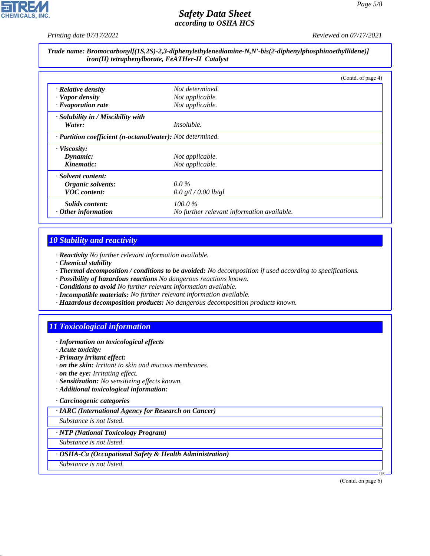*Printing date 07/17/2021 Reviewed on 07/17/2021*

#### *Trade name: Bromocarbonyl[(1S,2S)-2,3-diphenylethylenediamine-N,N'-bis(2-diphenylphosphinoethyllidene)] iron(II) tetraphenylborate, FeATHer-II Catalyst*

|                                                            |                                            | (Contd. of page 4) |
|------------------------------------------------------------|--------------------------------------------|--------------------|
| $\cdot$ Relative density                                   | Not determined.                            |                    |
| · Vapor density                                            | Not applicable.                            |                    |
| $\cdot$ Evaporation rate                                   | Not applicable.                            |                    |
| · Solubility in / Miscibility with                         |                                            |                    |
| Water:                                                     | <i>Insoluble.</i>                          |                    |
| · Partition coefficient (n-octanol/water): Not determined. |                                            |                    |
| · Viscosity:                                               |                                            |                    |
| Dynamic:                                                   | Not applicable.                            |                    |
| Kinematic:                                                 | Not applicable.                            |                    |
| · Solvent content:                                         |                                            |                    |
| Organic solvents:                                          | $0.0\,\%$                                  |                    |
| <b>VOC</b> content:                                        | 0.0 g/l / 0.00 lb/gl                       |                    |
| <i>Solids content:</i>                                     | $100.0\%$                                  |                    |
| Other information                                          | No further relevant information available. |                    |

# *10 Stability and reactivity*

- *· Reactivity No further relevant information available.*
- *· Chemical stability*
- *· Thermal decomposition / conditions to be avoided: No decomposition if used according to specifications.*
- *· Possibility of hazardous reactions No dangerous reactions known.*
- *· Conditions to avoid No further relevant information available.*
- *· Incompatible materials: No further relevant information available.*
- *· Hazardous decomposition products: No dangerous decomposition products known.*

# *11 Toxicological information*

- *· Information on toxicological effects*
- *· Acute toxicity:*
- *· Primary irritant effect:*
- *· on the skin: Irritant to skin and mucous membranes.*
- *· on the eye: Irritating effect.*
- *· Sensitization: No sensitizing effects known.*
- *· Additional toxicological information:*
- *· Carcinogenic categories*

*· IARC (International Agency for Research on Cancer)*

*Substance is not listed.*

*· NTP (National Toxicology Program)*

*Substance is not listed.*

*· OSHA-Ca (Occupational Safety & Health Administration)*

*Substance is not listed.*

44.1.1

(Contd. on page 6)

US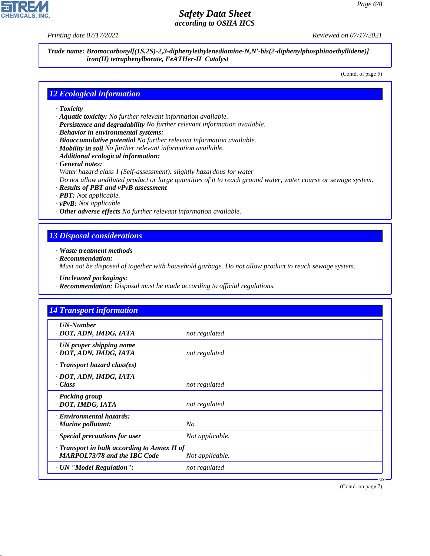*Printing date 07/17/2021 Reviewed on 07/17/2021*

*Trade name: Bromocarbonyl[(1S,2S)-2,3-diphenylethylenediamine-N,N'-bis(2-diphenylphosphinoethyllidene)] iron(II) tetraphenylborate, FeATHer-II Catalyst*

(Contd. of page 5)

### *12 Ecological information*

- *· Toxicity*
- *· Aquatic toxicity: No further relevant information available.*
- *· Persistence and degradability No further relevant information available.*
- *· Behavior in environmental systems:*
- *· Bioaccumulative potential No further relevant information available.*
- *· Mobility in soil No further relevant information available.*
- *· Additional ecological information:*
- *· General notes:*
	- *Water hazard class 1 (Self-assessment): slightly hazardous for water*
	- *Do not allow undiluted product or large quantities of it to reach ground water, water course or sewage system.*
- *· Results of PBT and vPvB assessment*
- *· PBT: Not applicable.*
- *· vPvB: Not applicable.*
- *· Other adverse effects No further relevant information available.*

#### *13 Disposal considerations*

- *· Waste treatment methods*
- *· Recommendation:*

*Must not be disposed of together with household garbage. Do not allow product to reach sewage system.*

*· Uncleaned packagings:*

*· Recommendation: Disposal must be made according to official regulations.*

| $\cdot$ UN-Number                                         |                 |  |
|-----------------------------------------------------------|-----------------|--|
| · DOT, ADN, IMDG, IATA                                    | not regulated   |  |
| $\cdot$ UN proper shipping name<br>· DOT, ADN, IMDG, IATA | not regulated   |  |
| $\cdot$ Transport hazard class(es)                        |                 |  |
| · DOT, ADN, IMDG, IATA                                    |                 |  |
| · Class                                                   | not regulated   |  |
| · Packing group                                           |                 |  |
| · DOT, IMDG, IATA                                         | not regulated   |  |
| · Environmental hazards:                                  |                 |  |
| $\cdot$ Marine pollutant:                                 | N <sub>O</sub>  |  |
| · Special precautions for user                            | Not applicable. |  |
| · Transport in bulk according to Annex II of              |                 |  |
| <b>MARPOL73/78 and the IBC Code</b>                       | Not applicable. |  |
| · UN "Model Regulation":                                  | not regulated   |  |

(Contd. on page 7)

![](_page_5_Picture_29.jpeg)

44.1.1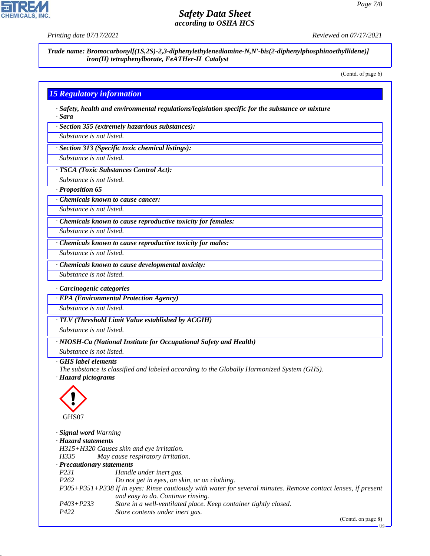![](_page_6_Picture_2.jpeg)

*Printing date 07/17/2021 Reviewed on 07/17/2021*

*Trade name: Bromocarbonyl[(1S,2S)-2,3-diphenylethylenediamine-N,N'-bis(2-diphenylphosphinoethyllidene)] iron(II) tetraphenylborate, FeATHer-II Catalyst*

(Contd. of page 6)

US

# *15 Regulatory information*

*· Safety, health and environmental regulations/legislation specific for the substance or mixture · Sara*

*· Section 355 (extremely hazardous substances):*

*Substance is not listed.*

*· Section 313 (Specific toxic chemical listings):*

*Substance is not listed.*

*· TSCA (Toxic Substances Control Act):*

*Substance is not listed.*

*· Proposition 65*

*· Chemicals known to cause cancer:*

*Substance is not listed.*

*· Chemicals known to cause reproductive toxicity for females:*

*Substance is not listed.*

*Substance is not listed.*

*· Chemicals known to cause reproductive toxicity for males:*

*· Chemicals known to cause developmental toxicity:*

*Substance is not listed.*

*· Carcinogenic categories*

*· EPA (Environmental Protection Agency)*

*Substance is not listed.*

*· TLV (Threshold Limit Value established by ACGIH)*

*Substance is not listed.*

*· NIOSH-Ca (National Institute for Occupational Safety and Health)*

*Substance is not listed.*

#### *· GHS label elements*

*The substance is classified and labeled according to the Globally Harmonized System (GHS).*

*· Hazard pictograms*

![](_page_6_Picture_33.jpeg)

44.1.1

*· Signal word Warning · Hazard statements H315+H320 Causes skin and eye irritation. H335 May cause respiratory irritation. · Precautionary statements P231 Handle under inert gas. P262 Do not get in eyes, on skin, or on clothing. P305+P351+P338 If in eyes: Rinse cautiously with water for several minutes. Remove contact lenses, if present and easy to do. Continue rinsing. P403+P233 Store in a well-ventilated place. Keep container tightly closed. P422 Store contents under inert gas.* (Contd. on page 8)